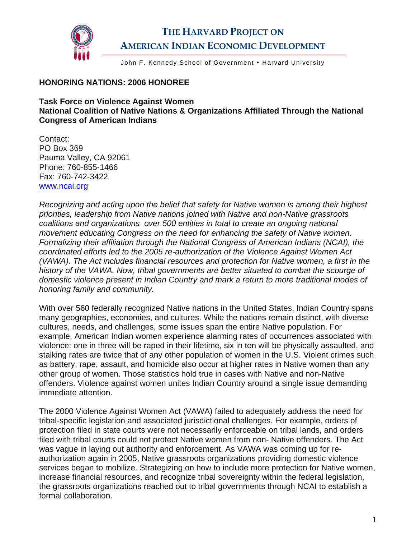

## **THE HARVARD PROJECT ON AMERICAN INDIAN ECONOMIC DEVELOPMENT**

John F. Kennedy School of Government . Harvard University

## **HONORING NATIONS: 2006 HONOREE**

**Task Force on Violence Against Women National Coalition of Native Nations & Organizations Affiliated Through the National Congress of American Indians** 

Contact: PO Box 369 Pauma Valley, CA 92061 Phone: 760-855-1466 Fax: 760-742-3422 [www.ncai.org](http://www.ncai.org/) 

*Recognizing and acting upon the belief that safety for Native women is among their highest priorities, leadership from Native nations joined with Native and non-Native grassroots coalitions and organizations over 500 entities in total to create an ongoing national movement educating Congress on the need for enhancing the safety of Native women. Formalizing their affiliation through the National Congress of American Indians (NCAI), the coordinated efforts led to the 2005 re-authorization of the Violence Against Women Act (VAWA). The Act includes financial resources and protection for Native women, a first in the history of the VAWA. Now, tribal governments are better situated to combat the scourge of domestic violence present in Indian Country and mark a return to more traditional modes of honoring family and community.* 

With over 560 federally recognized Native nations in the United States, Indian Country spans many geographies, economies, and cultures. While the nations remain distinct, with diverse cultures, needs, and challenges, some issues span the entire Native population. For example, American Indian women experience alarming rates of occurrences associated with violence: one in three will be raped in their lifetime, six in ten will be physically assaulted, and stalking rates are twice that of any other population of women in the U.S. Violent crimes such as battery, rape, assault, and homicide also occur at higher rates in Native women than any other group of women. Those statistics hold true in cases with Native and non-Native offenders. Violence against women unites Indian Country around a single issue demanding immediate attention.

The 2000 Violence Against Women Act (VAWA) failed to adequately address the need for tribal-specific legislation and associated jurisdictional challenges. For example, orders of protection filed in state courts were not necessarily enforceable on tribal lands, and orders filed with tribal courts could not protect Native women from non- Native offenders. The Act was vague in laying out authority and enforcement. As VAWA was coming up for reauthorization again in 2005, Native grassroots organizations providing domestic violence services began to mobilize. Strategizing on how to include more protection for Native women, increase financial resources, and recognize tribal sovereignty within the federal legislation, the grassroots organizations reached out to tribal governments through NCAI to establish a formal collaboration.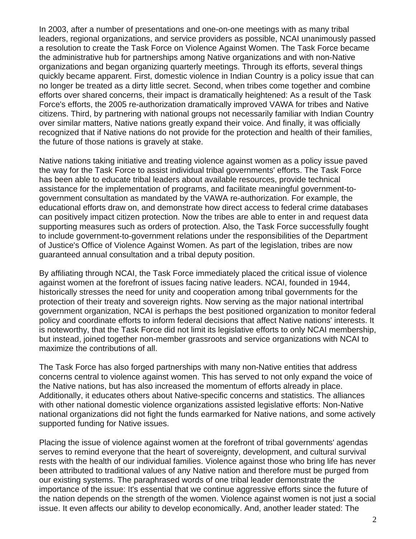In 2003, after a number of presentations and one-on-one meetings with as many tribal leaders, regional organizations, and service providers as possible, NCAI unanimously passed a resolution to create the Task Force on Violence Against Women. The Task Force became the administrative hub for partnerships among Native organizations and with non-Native organizations and began organizing quarterly meetings. Through its efforts, several things quickly became apparent. First, domestic violence in Indian Country is a policy issue that can no longer be treated as a dirty little secret. Second, when tribes come together and combine efforts over shared concerns, their impact is dramatically heightened: As a result of the Task Force's efforts, the 2005 re-authorization dramatically improved VAWA for tribes and Native citizens. Third, by partnering with national groups not necessarily familiar with Indian Country over similar matters, Native nations greatly expand their voice. And finally, it was officially recognized that if Native nations do not provide for the protection and health of their families, the future of those nations is gravely at stake.

Native nations taking initiative and treating violence against women as a policy issue paved the way for the Task Force to assist individual tribal governments' efforts. The Task Force has been able to educate tribal leaders about available resources, provide technical assistance for the implementation of programs, and facilitate meaningful government-togovernment consultation as mandated by the VAWA re-authorization. For example, the educational efforts draw on, and demonstrate how direct access to federal crime databases can positively impact citizen protection. Now the tribes are able to enter in and request data supporting measures such as orders of protection. Also, the Task Force successfully fought to include government-to-government relations under the responsibilities of the Department of Justice's Office of Violence Against Women. As part of the legislation, tribes are now guaranteed annual consultation and a tribal deputy position.

By affiliating through NCAI, the Task Force immediately placed the critical issue of violence against women at the forefront of issues facing native leaders. NCAI, founded in 1944, historically stresses the need for unity and cooperation among tribal governments for the protection of their treaty and sovereign rights. Now serving as the major national intertribal government organization, NCAI is perhaps the best positioned organization to monitor federal policy and coordinate efforts to inform federal decisions that affect Native nations' interests. It is noteworthy, that the Task Force did not limit its legislative efforts to only NCAI membership, but instead, joined together non-member grassroots and service organizations with NCAI to maximize the contributions of all.

The Task Force has also forged partnerships with many non-Native entities that address concerns central to violence against women. This has served to not only expand the voice of the Native nations, but has also increased the momentum of efforts already in place. Additionally, it educates others about Native-specific concerns and statistics. The alliances with other national domestic violence organizations assisted legislative efforts: Non-Native national organizations did not fight the funds earmarked for Native nations, and some actively supported funding for Native issues.

Placing the issue of violence against women at the forefront of tribal governments' agendas serves to remind everyone that the heart of sovereignty, development, and cultural survival rests with the health of our individual families. Violence against those who bring life has never been attributed to traditional values of any Native nation and therefore must be purged from our existing systems. The paraphrased words of one tribal leader demonstrate the importance of the issue: It's essential that we continue aggressive efforts since the future of the nation depends on the strength of the women. Violence against women is not just a social issue. It even affects our ability to develop economically. And, another leader stated: The